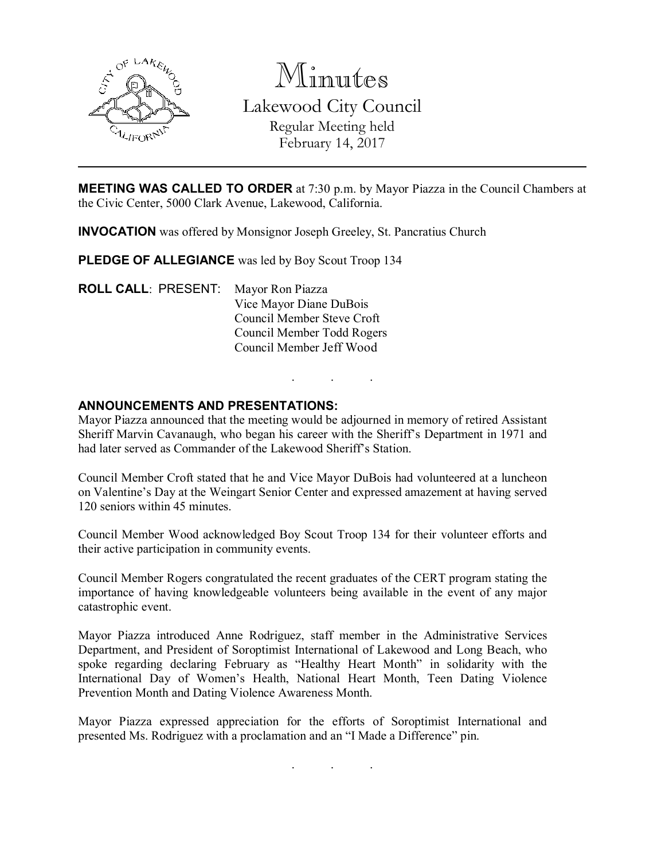

Minutes

Lakewood City Council Regular Meeting held

February 14, 2017

MEETING WAS CALLED TO ORDER at 7:30 p.m. by Mayor Piazza in the Council Chambers at the Civic Center, 5000 Clark Avenue, Lakewood, California.

INVOCATION was offered by Monsignor Joseph Greeley, St. Pancratius Church

PLEDGE OF ALLEGIANCE was led by Boy Scout Troop 134

ROLL CALL: PRESENT: Mayor Ron Piazza Vice Mayor Diane DuBois Council Member Steve Croft Council Member Todd Rogers Council Member Jeff Wood

# ANNOUNCEMENTS AND PRESENTATIONS:

Mayor Piazza announced that the meeting would be adjourned in memory of retired Assistant Sheriff Marvin Cavanaugh, who began his career with the Sheriff's Department in 1971 and had later served as Commander of the Lakewood Sheriff's Station.

. . .

Council Member Croft stated that he and Vice Mayor DuBois had volunteered at a luncheon on Valentine's Day at the Weingart Senior Center and expressed amazement at having served 120 seniors within 45 minutes.

Council Member Wood acknowledged Boy Scout Troop 134 for their volunteer efforts and their active participation in community events.

Council Member Rogers congratulated the recent graduates of the CERT program stating the importance of having knowledgeable volunteers being available in the event of any major catastrophic event.

Mayor Piazza introduced Anne Rodriguez, staff member in the Administrative Services Department, and President of Soroptimist International of Lakewood and Long Beach, who spoke regarding declaring February as "Healthy Heart Month" in solidarity with the International Day of Women's Health, National Heart Month, Teen Dating Violence Prevention Month and Dating Violence Awareness Month.

Mayor Piazza expressed appreciation for the efforts of Soroptimist International and presented Ms. Rodriguez with a proclamation and an "I Made a Difference" pin.

. . .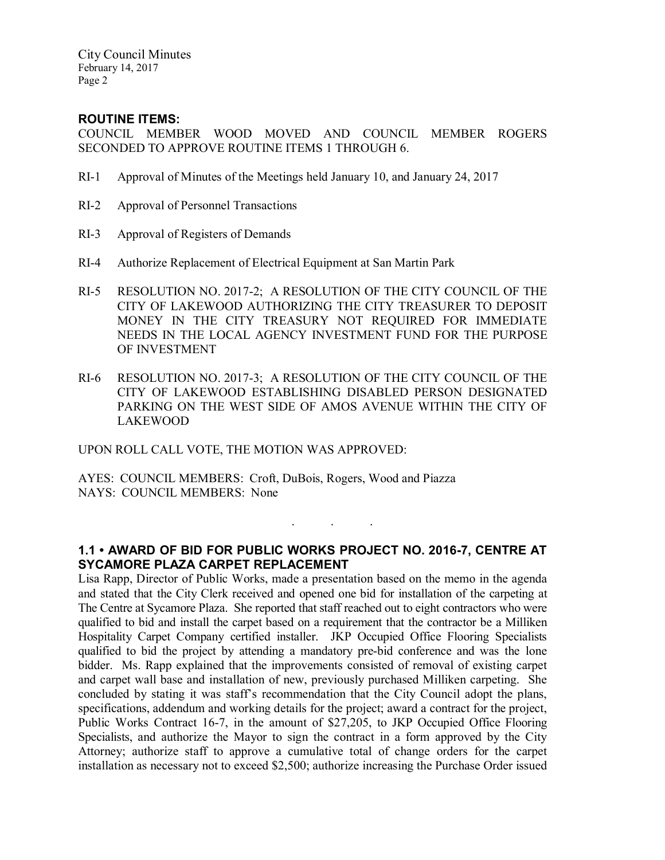City Council Minutes February 14, 2017 Page 2

### ROUTINE ITEMS:

COUNCIL MEMBER WOOD MOVED AND COUNCIL MEMBER ROGERS SECONDED TO APPROVE ROUTINE ITEMS 1 THROUGH 6.

- RI-1 Approval of Minutes of the Meetings held January 10, and January 24, 2017
- RI-2 Approval of Personnel Transactions
- RI-3 Approval of Registers of Demands
- RI-4 Authorize Replacement of Electrical Equipment at San Martin Park
- RI-5 RESOLUTION NO. 2017-2; A RESOLUTION OF THE CITY COUNCIL OF THE CITY OF LAKEWOOD AUTHORIZING THE CITY TREASURER TO DEPOSIT MONEY IN THE CITY TREASURY NOT REQUIRED FOR IMMEDIATE NEEDS IN THE LOCAL AGENCY INVESTMENT FUND FOR THE PURPOSE OF INVESTMENT
- RI-6 RESOLUTION NO. 2017-3; A RESOLUTION OF THE CITY COUNCIL OF THE CITY OF LAKEWOOD ESTABLISHING DISABLED PERSON DESIGNATED PARKING ON THE WEST SIDE OF AMOS AVENUE WITHIN THE CITY OF LAKEWOOD

UPON ROLL CALL VOTE, THE MOTION WAS APPROVED:

AYES: COUNCIL MEMBERS: Croft, DuBois, Rogers, Wood and Piazza NAYS: COUNCIL MEMBERS: None

# 1.1 • AWARD OF BID FOR PUBLIC WORKS PROJECT NO. 2016-7, CENTRE AT SYCAMORE PLAZA CARPET REPLACEMENT

. . .

Lisa Rapp, Director of Public Works, made a presentation based on the memo in the agenda and stated that the City Clerk received and opened one bid for installation of the carpeting at The Centre at Sycamore Plaza. She reported that staff reached out to eight contractors who were qualified to bid and install the carpet based on a requirement that the contractor be a Milliken Hospitality Carpet Company certified installer. JKP Occupied Office Flooring Specialists qualified to bid the project by attending a mandatory pre-bid conference and was the lone bidder. Ms. Rapp explained that the improvements consisted of removal of existing carpet and carpet wall base and installation of new, previously purchased Milliken carpeting. She concluded by stating it was staff's recommendation that the City Council adopt the plans, specifications, addendum and working details for the project; award a contract for the project, Public Works Contract 16-7, in the amount of \$27,205, to JKP Occupied Office Flooring Specialists, and authorize the Mayor to sign the contract in a form approved by the City Attorney; authorize staff to approve a cumulative total of change orders for the carpet installation as necessary not to exceed \$2,500; authorize increasing the Purchase Order issued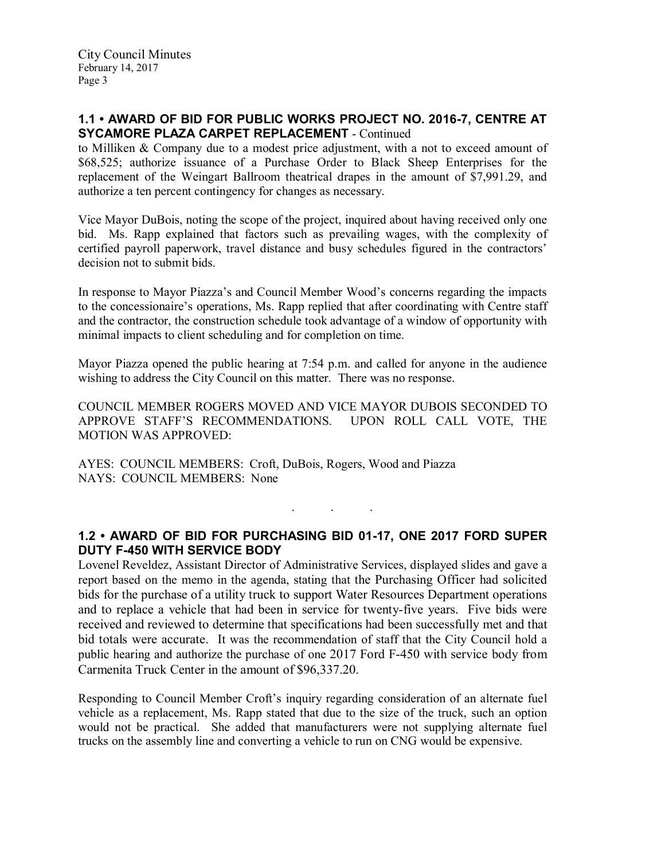## 1.1 • AWARD OF BID FOR PUBLIC WORKS PROJECT NO. 2016-7, CENTRE AT SYCAMORE PLAZA CARPET REPLACEMENT - Continued

to Milliken & Company due to a modest price adjustment, with a not to exceed amount of \$68,525; authorize issuance of a Purchase Order to Black Sheep Enterprises for the replacement of the Weingart Ballroom theatrical drapes in the amount of \$7,991.29, and authorize a ten percent contingency for changes as necessary.

Vice Mayor DuBois, noting the scope of the project, inquired about having received only one bid. Ms. Rapp explained that factors such as prevailing wages, with the complexity of certified payroll paperwork, travel distance and busy schedules figured in the contractors' decision not to submit bids.

In response to Mayor Piazza's and Council Member Wood's concerns regarding the impacts to the concessionaire's operations, Ms. Rapp replied that after coordinating with Centre staff and the contractor, the construction schedule took advantage of a window of opportunity with minimal impacts to client scheduling and for completion on time.

Mayor Piazza opened the public hearing at 7:54 p.m. and called for anyone in the audience wishing to address the City Council on this matter. There was no response.

COUNCIL MEMBER ROGERS MOVED AND VICE MAYOR DUBOIS SECONDED TO APPROVE STAFF'S RECOMMENDATIONS. UPON ROLL CALL VOTE, THE MOTION WAS APPROVED:

AYES: COUNCIL MEMBERS: Croft, DuBois, Rogers, Wood and Piazza NAYS: COUNCIL MEMBERS: None

# 1.2 • AWARD OF BID FOR PURCHASING BID 01-17, ONE 2017 FORD SUPER DUTY F-450 WITH SERVICE BODY

. . .

Lovenel Reveldez, Assistant Director of Administrative Services, displayed slides and gave a report based on the memo in the agenda, stating that the Purchasing Officer had solicited bids for the purchase of a utility truck to support Water Resources Department operations and to replace a vehicle that had been in service for twenty-five years. Five bids were received and reviewed to determine that specifications had been successfully met and that bid totals were accurate. It was the recommendation of staff that the City Council hold a public hearing and authorize the purchase of one 2017 Ford F-450 with service body from Carmenita Truck Center in the amount of \$96,337.20.

Responding to Council Member Croft's inquiry regarding consideration of an alternate fuel vehicle as a replacement, Ms. Rapp stated that due to the size of the truck, such an option would not be practical. She added that manufacturers were not supplying alternate fuel trucks on the assembly line and converting a vehicle to run on CNG would be expensive.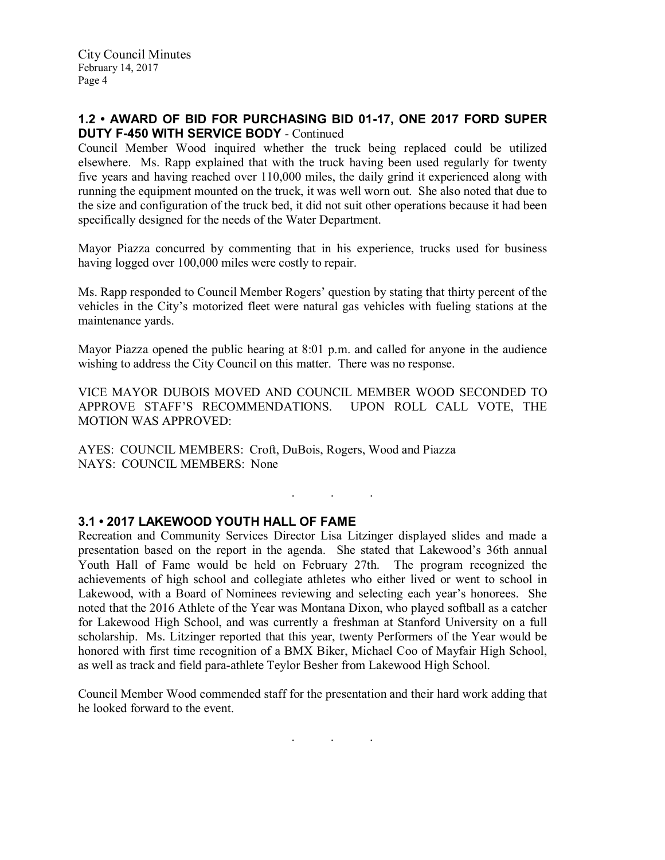#### 1.2 • AWARD OF BID FOR PURCHASING BID 01-17, ONE 2017 FORD SUPER DUTY F-450 WITH SERVICE BODY - Continued

Council Member Wood inquired whether the truck being replaced could be utilized elsewhere. Ms. Rapp explained that with the truck having been used regularly for twenty five years and having reached over 110,000 miles, the daily grind it experienced along with running the equipment mounted on the truck, it was well worn out. She also noted that due to the size and configuration of the truck bed, it did not suit other operations because it had been specifically designed for the needs of the Water Department.

Mayor Piazza concurred by commenting that in his experience, trucks used for business having logged over 100,000 miles were costly to repair.

Ms. Rapp responded to Council Member Rogers' question by stating that thirty percent of the vehicles in the City's motorized fleet were natural gas vehicles with fueling stations at the maintenance yards.

Mayor Piazza opened the public hearing at 8:01 p.m. and called for anyone in the audience wishing to address the City Council on this matter. There was no response.

VICE MAYOR DUBOIS MOVED AND COUNCIL MEMBER WOOD SECONDED TO APPROVE STAFF'S RECOMMENDATIONS. UPON ROLL CALL VOTE, THE MOTION WAS APPROVED:

. . .

AYES: COUNCIL MEMBERS: Croft, DuBois, Rogers, Wood and Piazza NAYS: COUNCIL MEMBERS: None

### 3.1 • 2017 LAKEWOOD YOUTH HALL OF FAME

Recreation and Community Services Director Lisa Litzinger displayed slides and made a presentation based on the report in the agenda. She stated that Lakewood's 36th annual Youth Hall of Fame would be held on February 27th. The program recognized the achievements of high school and collegiate athletes who either lived or went to school in Lakewood, with a Board of Nominees reviewing and selecting each year's honorees. She noted that the 2016 Athlete of the Year was Montana Dixon, who played softball as a catcher for Lakewood High School, and was currently a freshman at Stanford University on a full scholarship. Ms. Litzinger reported that this year, twenty Performers of the Year would be honored with first time recognition of a BMX Biker, Michael Coo of Mayfair High School, as well as track and field para-athlete Teylor Besher from Lakewood High School.

Council Member Wood commended staff for the presentation and their hard work adding that he looked forward to the event.

. . .